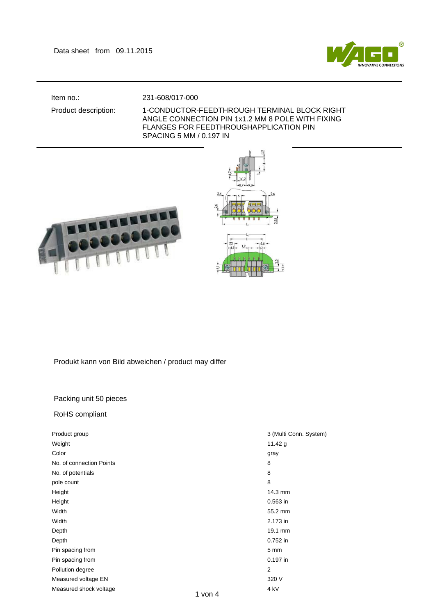

## Item no.: 231-608/017-000

## Product description: 1-CONDUCTOR-FEEDTHROUGH TERMINAL BLOCK RIGHT ANGLE CONNECTION PIN 1x1.2 MM 8 POLE WITH FIXING FLANGES FOR FEEDTHROUGHAPPLICATION PIN SPACING 5 MM / 0.197 IN





Produkt kann von Bild abweichen / product may differ

## Packing unit 50 pieces

## RoHS compliant

| Product group                    | 3 (Multi Conn. System)                      |
|----------------------------------|---------------------------------------------|
| Weight                           | 11.42 $g$                                   |
| Color                            | gray                                        |
| No. of connection Points         | 8                                           |
| No. of potentials                | 8                                           |
| pole count                       | 8                                           |
| Height                           | 14.3 mm                                     |
| Height                           | 0.563 in                                    |
| Width                            | 55.2 mm                                     |
| Width                            | 2.173 in                                    |
| Depth                            | 19.1 mm                                     |
| Depth                            | 0.752 in                                    |
| Pin spacing from                 | 5 mm                                        |
| Pin spacing from                 | 0.197 in                                    |
| Pollution degree                 | $\overline{2}$                              |
| Measured voltage EN              | 320 V                                       |
| Measured shock voltage<br>$\sim$ | 4 <sub>kV</sub><br>$\overline{\phantom{a}}$ |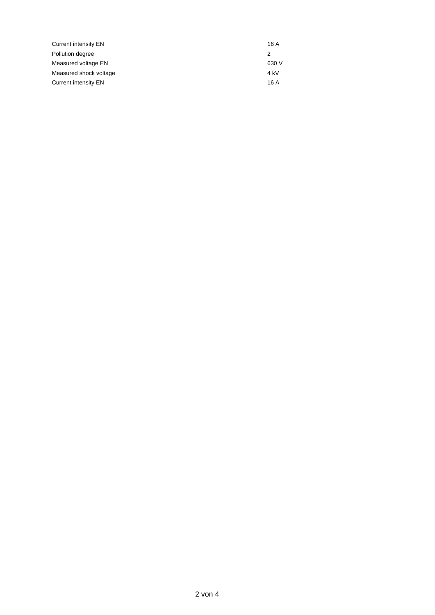| Current intensity EN   | 16 A  |
|------------------------|-------|
| Pollution degree       |       |
| Measured voltage EN    | 630 V |
| Measured shock voltage | 4 kV  |
| Current intensity EN   | 16 A  |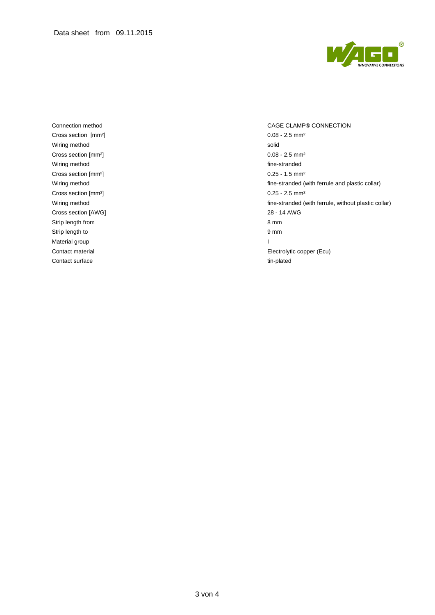

Cross section [mm<sup>2</sup>] 0.08 - 2.5 mm<sup>2</sup> Wiring method solid Cross section [mm<sup>2</sup>] 0.08 - 2.5 mm<sup>2</sup> Wiring method **fine-stranded** fine-stranded Cross section [mm²] 0.25 - 1.5 mm² Cross section [mm<sup>2</sup>] 0.25 - 2.5 mm<sup>2</sup> Cross section [AWG] 28 - 14 AWG Strip length from 8 mm Strip length to 9 mm Material group and the state of the state of the state of the state of the state of the state of the state of the state of the state of the state of the state of the state of the state of the state of the state of the stat Contact surface tim-plated tim-plated

Connection method CAGE CLAMP® CONNECTION Wiring method **fine-stranded** (with ferrule and plastic collar) Wiring method **fine-stranded (with ferrule, without plastic collar)** fine-stranded (with ferrule, without plastic collar) Contact material Electrolytic copper (Ecu)